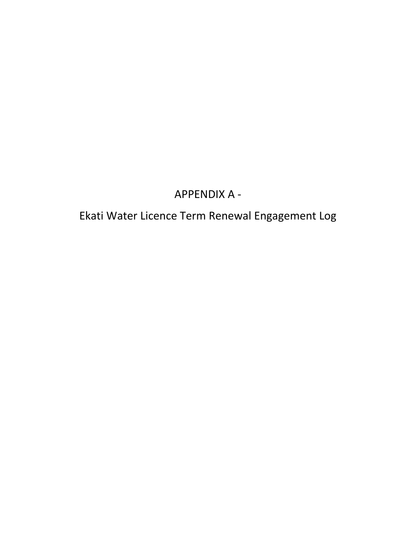## APPENDIX A -

## Ekati Water Licence Term Renewal Engagement Log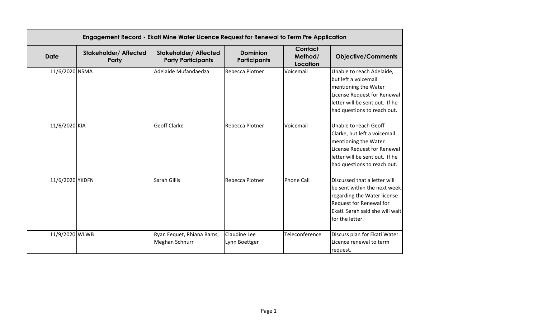| Engagement Record - Ekati Mine Water Licence Request for Renewal to Term Pre Application |                                       |                                                           |                                        |                                       |                                                                                                                                                                               |
|------------------------------------------------------------------------------------------|---------------------------------------|-----------------------------------------------------------|----------------------------------------|---------------------------------------|-------------------------------------------------------------------------------------------------------------------------------------------------------------------------------|
| <b>Date</b>                                                                              | <b>Stakeholder/ Affected</b><br>Party | <b>Stakeholder/ Affected</b><br><b>Party Participants</b> | <b>Dominion</b><br><b>Participants</b> | <b>Contact</b><br>Method/<br>Location | <b>Objective/Comments</b>                                                                                                                                                     |
| 11/6/2020 NSMA                                                                           |                                       | Adelaide Mufandaedza                                      | Rebecca Plotner                        | Voicemail                             | Unable to reach Adelaide,<br>but left a voicemail<br>mentioning the Water<br>License Request for Renewal<br>letter will be sent out. If he<br>had questions to reach out.     |
| 11/6/2020 KIA                                                                            |                                       | <b>Geoff Clarke</b>                                       | Rebecca Plotner                        | Voicemail                             | Unable to reach Geoff<br>Clarke, but left a voicemail<br>mentioning the Water<br>License Request for Renewal<br>letter will be sent out. If he<br>had questions to reach out. |
| 11/6/2020 YKDFN                                                                          |                                       | Sarah Gillis                                              | Rebecca Plotner                        | Phone Call                            | Discussed that a letter will<br>be sent within the next week<br>regarding the Water license<br>Request for Renewal for<br>Ekati. Sarah said she will wait<br>for the letter.  |
| 11/9/2020 WLWB                                                                           |                                       | Ryan Fequet, Rhiana Bams,<br>Meghan Schnurr               | Claudine Lee<br>Lynn Boettger          | Teleconference                        | Discuss plan for Ekati Water<br>Licence renewal to term<br>request.                                                                                                           |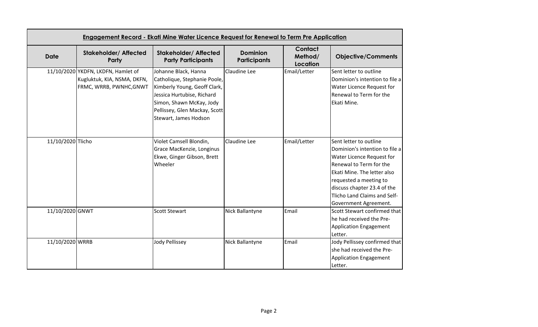| <b>Date</b>       | <b>Stakeholder/ Affected</b><br>Party                                                        | <b>Stakeholder/ Affected</b><br><b>Party Participants</b>                                                                                                                                                | <b>Dominion</b><br><b>Participants</b> | Contact<br>Method/<br>Location | <b>Objective/Comments</b>                                                                                                                                                                                                                                         |
|-------------------|----------------------------------------------------------------------------------------------|----------------------------------------------------------------------------------------------------------------------------------------------------------------------------------------------------------|----------------------------------------|--------------------------------|-------------------------------------------------------------------------------------------------------------------------------------------------------------------------------------------------------------------------------------------------------------------|
|                   | 11/10/2020 YKDFN, LKDFN, Hamlet of<br>Kugluktuk, KIA, NSMA, DKFN,<br>FRMC, WRRB, PWNHC, GNWT | Johanne Black, Hanna<br>Catholique, Stephanie Poole,<br>Kimberly Young, Geoff Clark,<br>Jessica Hurtubise, Richard<br>Simon, Shawn McKay, Jody<br>Pellissey, Glen Mackay, Scott<br>Stewart, James Hodson | Claudine Lee                           | Email/Letter                   | Sent letter to outline<br>Dominion's intention to file a<br>Water Licence Request for<br>Renewal to Term for the<br>Ekati Mine.                                                                                                                                   |
| 11/10/2020 Tlicho |                                                                                              | Violet Camsell Blondin,<br>Grace MacKenzie, Longinus<br>Ekwe, Ginger Gibson, Brett<br>Wheeler                                                                                                            | Claudine Lee                           | Email/Letter                   | Sent letter to outline<br>Dominion's intention to file a<br>Water Licence Request for<br>Renewal to Term for the<br>Ekati Mine. The letter also<br>requested a meeting to<br>discuss chapter 23.4 of the<br>Tlicho Land Claims and Self-<br>Government Agreement. |
| 11/10/2020 GNWT   |                                                                                              | <b>Scott Stewart</b>                                                                                                                                                                                     | Nick Ballantyne                        | Email                          | Scott Stewart confirmed that<br>he had received the Pre-<br><b>Application Engagement</b><br>Letter.                                                                                                                                                              |
| 11/10/2020 WRRB   |                                                                                              | Jody Pellissey                                                                                                                                                                                           | Nick Ballantyne                        | Email                          | Jody Pellissey confirmed that<br>she had received the Pre-<br><b>Application Engagement</b><br>Letter.                                                                                                                                                            |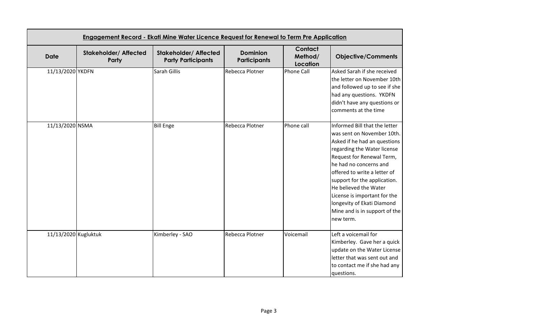| <b>Date</b>          | <b>Stakeholder/ Affected</b><br>Party | <b>Stakeholder/ Affected</b><br><b>Party Participants</b> | <b>Dominion</b><br><b>Participants</b> | <b>Contact</b><br>Method/<br>Location | <b>Objective/Comments</b>                                                                                                                                                                                                                                                                                                                                                              |
|----------------------|---------------------------------------|-----------------------------------------------------------|----------------------------------------|---------------------------------------|----------------------------------------------------------------------------------------------------------------------------------------------------------------------------------------------------------------------------------------------------------------------------------------------------------------------------------------------------------------------------------------|
| 11/13/2020 YKDFN     |                                       | Sarah Gillis                                              | Rebecca Plotner                        | <b>Phone Call</b>                     | Asked Sarah if she received<br>the letter on November 10th<br>and followed up to see if she<br>had any questions. YKDFN<br>didn't have any questions or<br>comments at the time                                                                                                                                                                                                        |
| 11/13/2020 NSMA      |                                       | <b>Bill Enge</b>                                          | Rebecca Plotner                        | Phone call                            | Informed Bill that the letter<br>was sent on November 10th.<br>Asked if he had an questions<br>regarding the Water license<br>Request for Renewal Term,<br>he had no concerns and<br>offered to write a letter of<br>support for the application.<br>He believed the Water<br>License is important for the<br>longevity of Ekati Diamond<br>Mine and is in support of the<br>new term. |
| 11/13/2020 Kugluktuk |                                       | Kimberley - SAO                                           | Rebecca Plotner                        | Voicemail                             | Left a voicemail for<br>Kimberley. Gave her a quick<br>update on the Water License<br>letter that was sent out and<br>to contact me if she had any<br>questions.                                                                                                                                                                                                                       |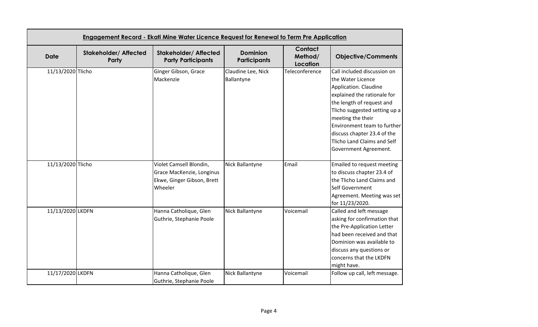| <b>Date</b>       | <b>Stakeholder/ Affected</b><br>Party | <b>Stakeholder/ Affected</b><br><b>Party Participants</b>                                     | <b>Dominion</b><br><b>Participants</b> | Contact<br>Method/<br><b>Location</b> | <b>Objective/Comments</b>                                                                                                                                                                                                                                                                                         |
|-------------------|---------------------------------------|-----------------------------------------------------------------------------------------------|----------------------------------------|---------------------------------------|-------------------------------------------------------------------------------------------------------------------------------------------------------------------------------------------------------------------------------------------------------------------------------------------------------------------|
| 11/13/2020 Tlicho |                                       | Ginger Gibson, Grace<br>Mackenzie                                                             | Claudine Lee, Nick<br>Ballantyne       | Teleconference                        | Call included discussion on<br>the Water Licence<br>Application. Claudine<br>explained the rationale for<br>the length of request and<br>Tlicho suggested setting up a<br>meeting the their<br>Environment team to further<br>discuss chapter 23.4 of the<br>Tlicho Land Claims and Self<br>Government Agreement. |
| 11/13/2020 Tlicho |                                       | Violet Camsell Blondin,<br>Grace MacKenzie, Longinus<br>Ekwe, Ginger Gibson, Brett<br>Wheeler | Nick Ballantyne                        | Email                                 | <b>Emailed to request meeting</b><br>to discuss chapter 23.4 of<br>the Tlicho Land Claims and<br>Self Government<br>Agreement. Meeting was set<br>for 11/23/2020.                                                                                                                                                 |
| 11/13/2020 LKDFN  |                                       | Hanna Catholique, Glen<br>Guthrie, Stephanie Poole                                            | Nick Ballantyne                        | Voicemail                             | Called and left message<br>asking for confirmation that<br>the Pre-Application Letter<br>had been received and that<br>Dominion was available to<br>discuss any questions or<br>concerns that the LKDFN<br>might have.                                                                                            |
| 11/17/2020 LKDFN  |                                       | Hanna Catholique, Glen<br>Guthrie, Stephanie Poole                                            | Nick Ballantyne                        | Voicemail                             | Follow up call, left message.                                                                                                                                                                                                                                                                                     |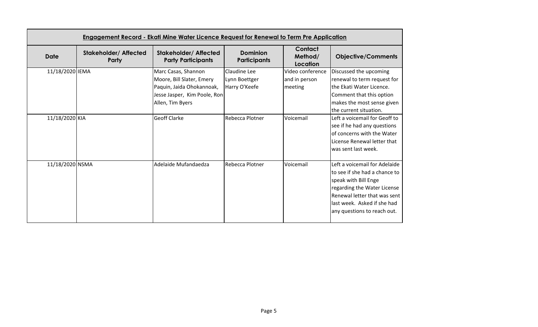|                 | <b>Engagement Record - Ekati Mine Water Licence Request for Renewal to Term Pre Application</b> |                                                           |                                        |                                       |                               |  |
|-----------------|-------------------------------------------------------------------------------------------------|-----------------------------------------------------------|----------------------------------------|---------------------------------------|-------------------------------|--|
| <b>Date</b>     | <b>Stakeholder/ Affected</b><br>Party                                                           | <b>Stakeholder/ Affected</b><br><b>Party Participants</b> | <b>Dominion</b><br><b>Participants</b> | <b>Contact</b><br>Method/<br>Location | <b>Objective/Comments</b>     |  |
| 11/18/2020 IEMA |                                                                                                 | Marc Casas, Shannon                                       | Claudine Lee                           | Video conference                      | Discussed the upcoming        |  |
|                 |                                                                                                 | Moore, Bill Slater, Emery                                 | Lynn Boettger                          | and in person                         | renewal to term request for   |  |
|                 |                                                                                                 | Paquin, Jaida Ohokannoak,                                 | Harry O'Keefe                          | meeting                               | the Ekati Water Licence.      |  |
|                 |                                                                                                 | Jesse Jasper, Kim Poole, Ron                              |                                        |                                       | Comment that this option      |  |
|                 |                                                                                                 | Allen, Tim Byers                                          |                                        |                                       | makes the most sense given    |  |
|                 |                                                                                                 |                                                           |                                        |                                       | the current situation.        |  |
| 11/18/2020 KIA  |                                                                                                 | <b>Geoff Clarke</b>                                       | Rebecca Plotner                        | Voicemail                             | Left a voicemail for Geoff to |  |
|                 |                                                                                                 |                                                           |                                        |                                       | see if he had any questions   |  |
|                 |                                                                                                 |                                                           |                                        |                                       | of concerns with the Water    |  |
|                 |                                                                                                 |                                                           |                                        |                                       | License Renewal letter that   |  |
|                 |                                                                                                 |                                                           |                                        |                                       | lwas sent last week.          |  |
| 11/18/2020 NSMA |                                                                                                 | Adelaide Mufandaedza                                      | Rebecca Plotner                        | Voicemail                             | Left a voicemail for Adelaide |  |
|                 |                                                                                                 |                                                           |                                        |                                       | to see if she had a chance to |  |
|                 |                                                                                                 |                                                           |                                        |                                       | speak with Bill Enge          |  |
|                 |                                                                                                 |                                                           |                                        |                                       | regarding the Water License   |  |
|                 |                                                                                                 |                                                           |                                        |                                       | Renewal letter that was sent  |  |
|                 |                                                                                                 |                                                           |                                        |                                       | last week. Asked if she had   |  |
|                 |                                                                                                 |                                                           |                                        |                                       | any questions to reach out.   |  |
|                 |                                                                                                 |                                                           |                                        |                                       |                               |  |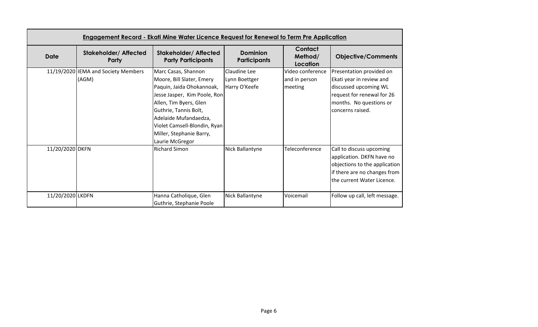|                  | <u> Engagement Record - Ekati Mine Water Licence Request for Renewal to Term Pre Application</u> |                                                                                                                                                                                                                                                                          |                                                |                                              |                                                                                                                                                            |  |
|------------------|--------------------------------------------------------------------------------------------------|--------------------------------------------------------------------------------------------------------------------------------------------------------------------------------------------------------------------------------------------------------------------------|------------------------------------------------|----------------------------------------------|------------------------------------------------------------------------------------------------------------------------------------------------------------|--|
| <b>Date</b>      | <b>Stakeholder/ Affected</b><br>Party                                                            | <b>Stakeholder/ Affected</b><br><b>Party Participants</b>                                                                                                                                                                                                                | <b>Dominion</b><br><b>Participants</b>         | Contact<br>Method/<br>Location               | <b>Objective/Comments</b>                                                                                                                                  |  |
|                  | 11/19/2020 IEMA and Society Members<br>(AGM)                                                     | Marc Casas, Shannon<br>Moore, Bill Slater, Emery<br>Paquin, Jaida Ohokannoak,<br>Jesse Jasper, Kim Poole, Ron<br>Allen, Tim Byers, Glen<br>Guthrie, Tannis Bolt,<br>Adelaide Mufandaedza,<br>Violet Camsell-Blondin, Ryan<br>Miller, Stephanie Barry,<br>Laurie McGregor | Claudine Lee<br>Lynn Boettger<br>Harry O'Keefe | Video conference<br>and in person<br>meeting | Presentation provided on<br>Ekati year in review and<br>discussed upcoming WL<br>request for renewal for 26<br>months. No questions or<br>concerns raised. |  |
| 11/20/2020 DKFN  |                                                                                                  | <b>Richard Simon</b>                                                                                                                                                                                                                                                     | Nick Ballantyne                                | Teleconference                               | Call to discuss upcoming<br>application. DKFN have no<br>objections to the application<br>if there are no changes from<br>the current Water Licence.       |  |
| 11/20/2020 LKDFN |                                                                                                  | Hanna Catholique, Glen<br>Guthrie, Stephanie Poole                                                                                                                                                                                                                       | Nick Ballantyne                                | Voicemail                                    | Follow up call, left message.                                                                                                                              |  |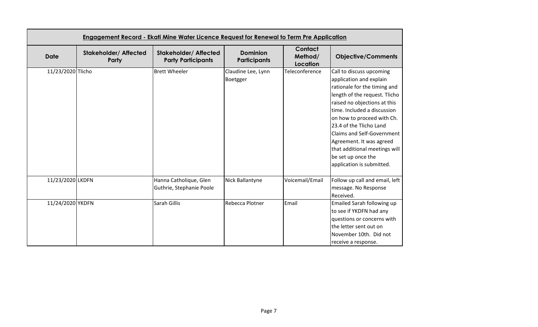|                   | Engagement Record - Ekati Mine Water Licence Request for Renewal to Term Pre Application |                                                           |                                        |                                       |                                                                                                                                                                                                                                                                                                                                                                                                   |  |
|-------------------|------------------------------------------------------------------------------------------|-----------------------------------------------------------|----------------------------------------|---------------------------------------|---------------------------------------------------------------------------------------------------------------------------------------------------------------------------------------------------------------------------------------------------------------------------------------------------------------------------------------------------------------------------------------------------|--|
| <b>Date</b>       | <b>Stakeholder/ Affected</b><br>Party                                                    | <b>Stakeholder/ Affected</b><br><b>Party Participants</b> | <b>Dominion</b><br><b>Participants</b> | <b>Contact</b><br>Method/<br>Location | <b>Objective/Comments</b>                                                                                                                                                                                                                                                                                                                                                                         |  |
| 11/23/2020 Tlicho |                                                                                          | <b>Brett Wheeler</b>                                      | Claudine Lee, Lynn<br>Boetgger         | Teleconference                        | Call to discuss upcoming<br>application and explain<br>rationale for the timing and<br>length of the request. Tlicho<br>raised no objections at this<br>time. Included a discussion<br>on how to proceed with Ch.<br>23.4 of the Tlicho Land<br><b>Claims and Self-Government</b><br>Agreement. It was agreed<br>that additional meetings will<br>be set up once the<br>application is submitted. |  |
| 11/23/2020 LKDFN  |                                                                                          | Hanna Catholique, Glen<br>Guthrie, Stephanie Poole        | Nick Ballantyne                        | Voicemail/Email                       | Follow up call and email, left<br>message. No Response<br>Received.                                                                                                                                                                                                                                                                                                                               |  |
| 11/24/2020 YKDFN  |                                                                                          | Sarah Gillis                                              | Rebecca Plotner                        | Email                                 | <b>Emailed Sarah following up</b><br>to see if YKDFN had any<br>questions or concerns with<br>the letter sent out on<br>November 10th. Did not<br>receive a response.                                                                                                                                                                                                                             |  |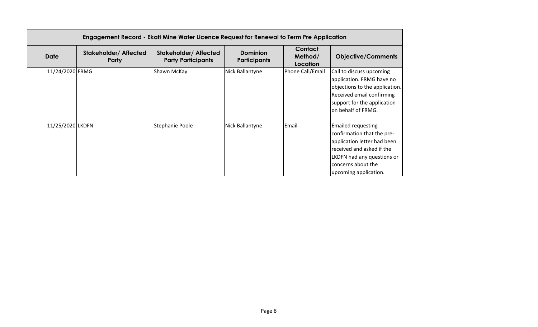|                  | <u> Engagement Record - Ekati Mine Water Licence Request for Renewal to Term Pre Application</u> |                                                          |                                        |                                |                                                                                                                                                                                                  |  |
|------------------|--------------------------------------------------------------------------------------------------|----------------------------------------------------------|----------------------------------------|--------------------------------|--------------------------------------------------------------------------------------------------------------------------------------------------------------------------------------------------|--|
| <b>Date</b>      | <b>Stakeholder/ Affected</b><br>Party                                                            | <b>Stakeholder/Affected</b><br><b>Party Participants</b> | <b>Dominion</b><br><b>Participants</b> | Contact<br>Method/<br>Location | <b>Objective/Comments</b>                                                                                                                                                                        |  |
| 11/24/2020 FRMG  |                                                                                                  | Shawn McKay                                              | Nick Ballantyne                        | Phone Call/Email               | Call to discuss upcoming<br>application. FRMG have no<br>objections to the application.<br><b>Received email confirming</b><br>support for the application<br>on behalf of FRMG.                 |  |
| 11/25/2020 LKDFN |                                                                                                  | Stephanie Poole                                          | Nick Ballantyne                        | Email                          | <b>Emailed requesting</b><br>confirmation that the pre-<br>application letter had been<br>received and asked if the<br>LKDFN had any questions or<br>concerns about the<br>upcoming application. |  |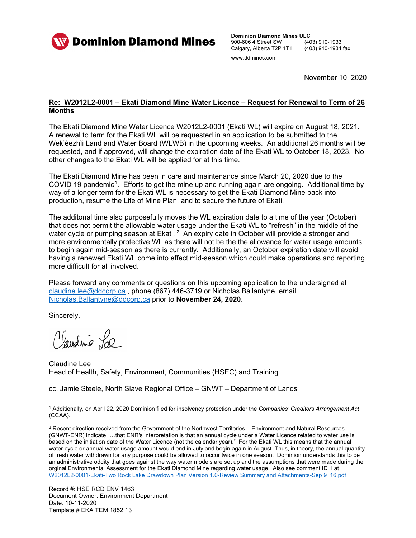

**Dominion Diamond Mines ULC**<br>900-606 4 Street SW (403) 910-1933 900-606 4 Street SW (403) 910-1933<br>Calgary, Alberta T2P 1T1 (403) 910-1934 fax Calgary, Alberta T2P 1T1 www.ddmines.com

November 10, 2020

## **Re: W2012L2-0001 – Ekati Diamond Mine Water Licence – Request for Renewal to Term of 26 Months**

The Ekati Diamond Mine Water Licence W2012L2-0001 (Ekati WL) will expire on August 18, 2021. A renewal to term for the Ekati WL will be requested in an application to be submitted to the Wek'èezhìi Land and Water Board (WLWB) in the upcoming weeks. An additional 26 months will be requested, and if approved, will change the expiration date of the Ekati WL to October 18, 2023. No other changes to the Ekati WL will be applied for at this time.

The Ekati Diamond Mine has been in care and maintenance since March 20, 2020 due to the COVID 19 pandemic<sup>1</sup>. Efforts to get the mine up and running again are ongoing. Additional time by way of a longer term for the Ekati WL is necessary to get the Ekati Diamond Mine back into production, resume the Life of Mine Plan, and to secure the future of Ekati.

The additonal time also purposefully moves the WL expiration date to a time of the year (October) that does not permit the allowable water usage under the Ekati WL to "refresh" in the middle of the water cycle or pumping season at Ekati. <sup>[2](#page-9-1)</sup> An expiry date in October will provide a stronger and more environmentally protective WL as there will not be the the allowance for water usage amounts to begin again mid-season as there is currently. Additionally, an October expiration date will avoid having a renewed Ekati WL come into effect mid-season which could make operations and reporting more difficult for all involved.

Please forward any comments or questions on this upcoming application to the undersigned at [claudine.lee@ddcorp.ca](mailto:claudine.lee@ddcorp.ca) , phone (867) 446-3719 or Nicholas Ballantyne, email [Nicholas.Ballantyne@ddcorp.ca](mailto:Nicholas.Ballantyne@ddcorp.ca) prior to **November 24, 2020**.

Sincerely,

Claudine La

Claudine Lee Head of Health, Safety, Environment, Communities (HSEC) and Training

cc. Jamie Steele, North Slave Regional Office – GNWT – Department of Lands

<span id="page-9-0"></span> <sup>1</sup> Additionally, on April 22, 2020 Dominion filed for insolvency protection under the *Companies' Creditors Arrangement Act* (CCAA).

<span id="page-9-1"></span><sup>&</sup>lt;sup>2</sup> Recent direction received from the Government of the Northwest Territories – Environment and Natural Resources (GNWT-ENR) indicate "…that ENR's interpretation is that an annual cycle under a Water Licence related to water use is based on the initiation date of the Water Licence (not the calendar year)." For the Ekati WL this means that the annual water cycle or annual water usage amount would end in July and begin again in August. Thus, in theory, the annual quantity of fresh water withdrawn for any purpose could be allowed to occur twice in one season. Dominion understands this to be an administrative oddity that goes against the way water models are set up and the assumptions that were made during the orginal Environmental Assessment for the Ekati Diamond Mine regarding water usage. Also see comment ID 1 at [W2012L2-0001-Ekati-Two Rock Lake Drawdown Plan Version 1.0-Review Summary and Attachments-Sep 9\\_16.pdf](http://registry.mvlwb.ca/Documents/W2012L2-0001/W2012L2-0001%20-%20Ekati%20-%20Two%20Rock%20Lake%20Drawdown%20Plan%20Version%201.0%20-%20Review%20Summary%20and%20Attachments%20-%20Sep%209_16.pdf)